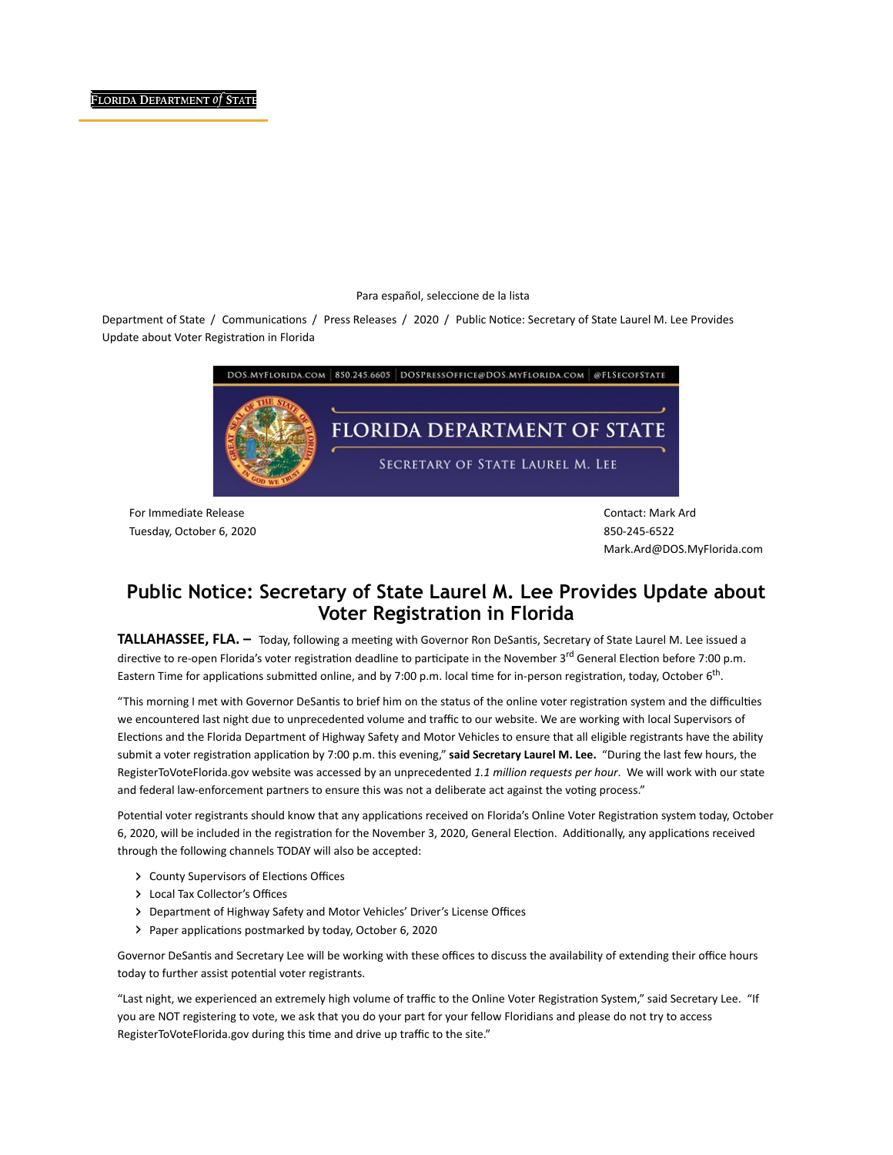## Para español, seleccione de la lista

Department of State / Communications / Press Releases / 2020 / Public Notice: Secretary of State Laurel M. Lee Provides Update about Voter Registration in Florida



For Immediate Release Tuesday, October 6, 2020 Contact: Mark Ard 850-245-6522 Mark.Ard@DOS.MyFlorida.com

## Public Notice: Secretary of State Laurel M. Lee Provides Update about Voter Registration in Florida

TALLAHASSEE, FLA. - Today, following a meeting with Governor Ron DeSantis, Secretary of State Laurel M. Lee issued a directive to re-open Florida's voter registration deadline to participate in the November 3<sup>rd</sup> General Election before 7:00 p.m. Eastern Time for applications submitted online, and by 7:00 p.m. local time for in-person registration, today, October 6<sup>th</sup>.

"This morning I met with Governor DeSantis to brief him on the status of the online voter registration system and the difficulties we encountered last night due to unprecedented volume and traffic to our website. We are working with local Supervisors of Elections and the Florida Department of Highway Safety and Motor Vehicles to ensure that all eligible registrants have the ability submit a voter registration application by 7:00 p.m. this evening," said Secretary Laurel M. Lee. "During the last few hours, the RegisterToVoteFlorida.gov website was accessed by an unprecedented 1.1 million requests per hour. We will work with our state and federal law-enforcement partners to ensure this was not a deliberate act against the voting process."

Potential voter registrants should know that any applications received on Florida's Online Voter Registration system today, October 6, 2020, will be included in the registration for the November 3, 2020, General Election. Additionally, any applications received through the following channels TODAY will also be accepted:

- County Supervisors of Elections Offices
- Local Tax Collector's Offices
- Department of Highway Safety and Motor Vehicles' Driver's License Offices
- Paper applications postmarked by today, October 6, 2020

Governor DeSantis and Secretary Lee will be working with these offices to discuss the availability of extending their office hours today to further assist potential voter registrants.

"Last night, we experienced an extremely high volume of traffic to the Online Voter Registration System," said Secretary Lee. "If you are NOT registering to vote, we ask that you do your part for your fellow Floridians and please do not try to access RegisterToVoteFlorida.gov during this time and drive up traffic to the site."